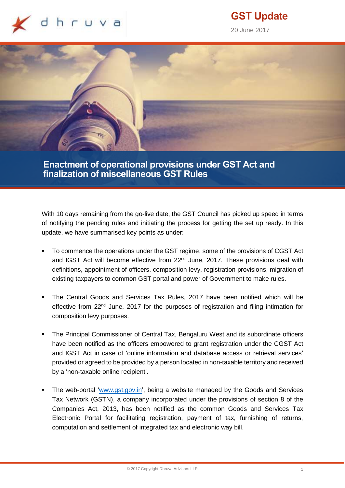

# **GST Update**

20 June 2017



**Enactment of operational provisions under GST Act and finalization of miscellaneous GST Rules**

With 10 days remaining from the go-live date, the GST Council has picked up speed in terms of notifying the pending rules and initiating the process for getting the set up ready. In this update, we have summarised key points as under:

- To commence the operations under the GST regime, some of the provisions of CGST Act and IGST Act will become effective from 22<sup>nd</sup> June, 2017. These provisions deal with definitions, appointment of officers, composition levy, registration provisions, migration of existing taxpayers to common GST portal and power of Government to make rules.
- The Central Goods and Services Tax Rules, 2017 have been notified which will be effective from 22<sup>nd</sup> June, 2017 for the purposes of registration and filing intimation for composition levy purposes.
- The Principal Commissioner of Central Tax, Bengaluru West and its subordinate officers have been notified as the officers empowered to grant registration under the CGST Act and IGST Act in case of 'online information and database access or retrieval services' provided or agreed to be provided by a person located in non-taxable territory and received by a 'non-taxable online recipient'.
- The web-portal ['www.gst.gov.in'](http://www.gst.gov.in/), being a website managed by the Goods and Services Tax Network (GSTN), a company incorporated under the provisions of section 8 of the Companies Act, 2013, has been notified as the common Goods and Services Tax Electronic Portal for facilitating registration, payment of tax, furnishing of returns, computation and settlement of integrated tax and electronic way bill.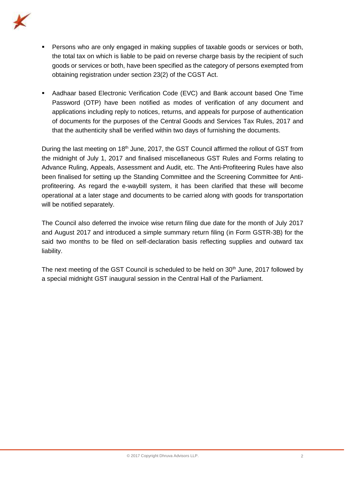

- **Persons who are only engaged in making supplies of taxable goods or services or both,** the total tax on which is liable to be paid on reverse charge basis by the recipient of such goods or services or both, have been specified as the category of persons exempted from obtaining registration under section 23(2) of the CGST Act.
- Aadhaar based Electronic Verification Code (EVC) and Bank account based One Time Password (OTP) have been notified as modes of verification of any document and applications including reply to notices, returns, and appeals for purpose of authentication of documents for the purposes of the Central Goods and Services Tax Rules, 2017 and that the authenticity shall be verified within two days of furnishing the documents.

During the last meeting on 18<sup>th</sup> June, 2017, the GST Council affirmed the rollout of GST from the midnight of July 1, 2017 and finalised miscellaneous GST Rules and Forms relating to Advance Ruling, Appeals, Assessment and Audit, etc. The Anti-Profiteering Rules have also been finalised for setting up the Standing Committee and the Screening Committee for Antiprofiteering. As regard the e-waybill system, it has been clarified that these will become operational at a later stage and documents to be carried along with goods for transportation will be notified separately.

The Council also deferred the invoice wise return filing due date for the month of July 2017 and August 2017 and introduced a simple summary return filing (in Form GSTR-3B) for the said two months to be filed on self-declaration basis reflecting supplies and outward tax liability.

The next meeting of the GST Council is scheduled to be held on 30<sup>th</sup> June, 2017 followed by a special midnight GST inaugural session in the Central Hall of the Parliament.